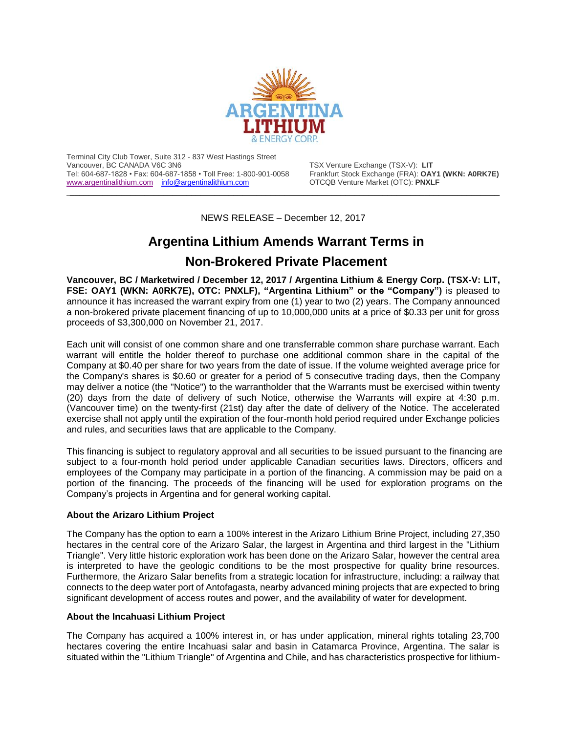

Terminal City Club Tower, Suite 312 - 837 West Hastings Street Tel: 604-687-1828 • Fax: 604-687-1858 • Toll Free: 1-800-901-0058 Frankfurt Stock Exchange (FRA): **OAY1** (WWW.argentinalithium.com info@argentinalithium.com **Frankright COAY1** (DTC): **PNXLF** [www.argentinalithium.com](http://www.argentinalithium.com/) [info@argentinalithium.com](mailto:info@argentinalithium.com)

TSX Venture Exchange (TSX-V): LIT<br>Frankfurt Stock Exchange (FRA): **OAY1 (WKN: A0RK7E)** 

NEWS RELEASE – December 12, 2017

\_\_\_\_\_\_\_\_\_\_\_\_\_\_\_\_\_\_\_\_\_\_\_\_\_\_\_\_\_\_\_\_\_\_\_\_\_\_\_\_\_\_\_\_\_\_\_\_\_\_\_\_\_\_\_\_\_\_\_\_\_\_\_\_\_\_\_\_\_\_\_\_\_\_\_\_\_\_\_\_\_\_\_\_\_\_\_\_\_\_\_\_

# **Argentina Lithium Amends Warrant Terms in**

# **Non-Brokered Private Placement**

**Vancouver, BC / Marketwired / December 12, 2017 / Argentina Lithium & Energy Corp. (TSX-V: LIT, FSE: OAY1 (WKN: A0RK7E), OTC: PNXLF), "Argentina Lithium" or the "Company")** is pleased to announce it has increased the warrant expiry from one (1) year to two (2) years. The Company announced a non-brokered private placement financing of up to 10,000,000 units at a price of \$0.33 per unit for gross proceeds of \$3,300,000 on November 21, 2017.

Each unit will consist of one common share and one transferrable common share purchase warrant. Each warrant will entitle the holder thereof to purchase one additional common share in the capital of the Company at \$0.40 per share for two years from the date of issue. If the volume weighted average price for the Company's shares is \$0.60 or greater for a period of 5 consecutive trading days, then the Company may deliver a notice (the "Notice") to the warrantholder that the Warrants must be exercised within twenty (20) days from the date of delivery of such Notice, otherwise the Warrants will expire at 4:30 p.m. (Vancouver time) on the twenty-first (21st) day after the date of delivery of the Notice. The accelerated exercise shall not apply until the expiration of the four-month hold period required under Exchange policies and rules, and securities laws that are applicable to the Company.

This financing is subject to regulatory approval and all securities to be issued pursuant to the financing are subject to a four-month hold period under applicable Canadian securities laws. Directors, officers and employees of the Company may participate in a portion of the financing. A commission may be paid on a portion of the financing. The proceeds of the financing will be used for exploration programs on the Company's projects in Argentina and for general working capital.

## **About the Arizaro Lithium Project**

The Company has the option to earn a 100% interest in the Arizaro Lithium Brine Project, including 27,350 hectares in the central core of the Arizaro Salar, the largest in Argentina and third largest in the "Lithium Triangle". Very little historic exploration work has been done on the Arizaro Salar, however the central area is interpreted to have the geologic conditions to be the most prospective for quality brine resources. Furthermore, the Arizaro Salar benefits from a strategic location for infrastructure, including: a railway that connects to the deep water port of Antofagasta, nearby advanced mining projects that are expected to bring significant development of access routes and power, and the availability of water for development.

## **About the Incahuasi Lithium Project**

The Company has acquired a 100% interest in, or has under application, mineral rights totaling 23,700 hectares covering the entire Incahuasi salar and basin in Catamarca Province, Argentina. The salar is situated within the "Lithium Triangle" of Argentina and Chile, and has characteristics prospective for lithium